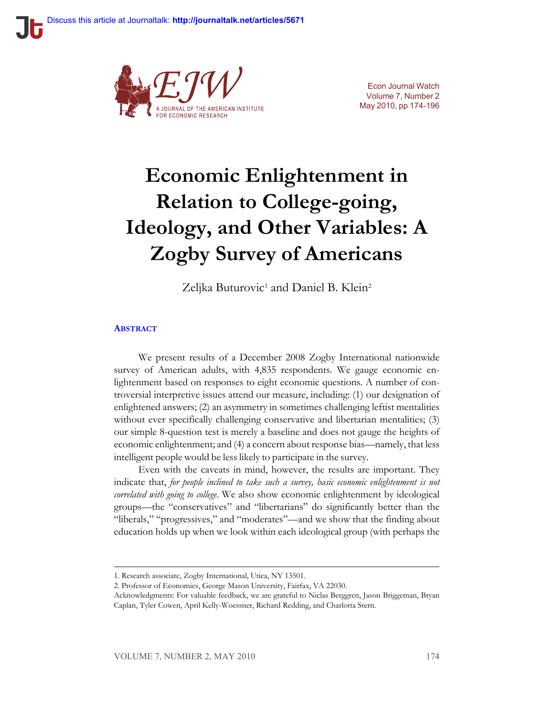

Econ Journal Watch Volume 7, Number 2 May 2010, pp 174-196

# **Economic Enlightenment in Relation to College-going, Ideology, and Other Variables: A Zogby Survey of Americans**

Zeljka Buturovic<sup>1</sup> and Daniel B. Klein<sup>2</sup>

#### **A[BSTRACT](http://econjwatch.org/649)**

We present results of a December 2008 Zogby International nationwide survey of American adults, with 4,835 respondents. We gauge economic enlightenment based on responses to eight economic questions. A number of controversial interpretive issues attend our measure, including: (1) our designation of enlightened answers; (2) an asymmetry in sometimes challenging leftist mentalities without ever specifically challenging conservative and libertarian mentalities; (3) our simple 8-question test is merely a baseline and does not gauge the heights of economic enlightenment; and (4) a concern about response bias—namely, that less intelligent people would be less likely to participate in the survey.

Even with the caveats in mind, however, the results are important. They indicate that, *for people inclined to take such a survey, basic economic enlightenment is not correlated with going to college*. We also show economic enlightenment by ideological groups—the "conservatives" and "libertarians" do significantly better than the "liberals," "progressives," and "moderates"—and we show that the finding about education holds up when we look within each ideological group (with perhaps the

<sup>1.</sup> Research associate, Zogby International, Utica, NY 13501.

<sup>2.</sup> Professor of Economics, George Mason University, Fairfax, VA 22030.

Acknowledgments: For valuable feedback, we are grateful to Niclas Berggren, Jason Briggeman, Bryan Caplan, Tyler Cowen, April Kelly-Woessner, Richard Redding, and Charlotta Stern.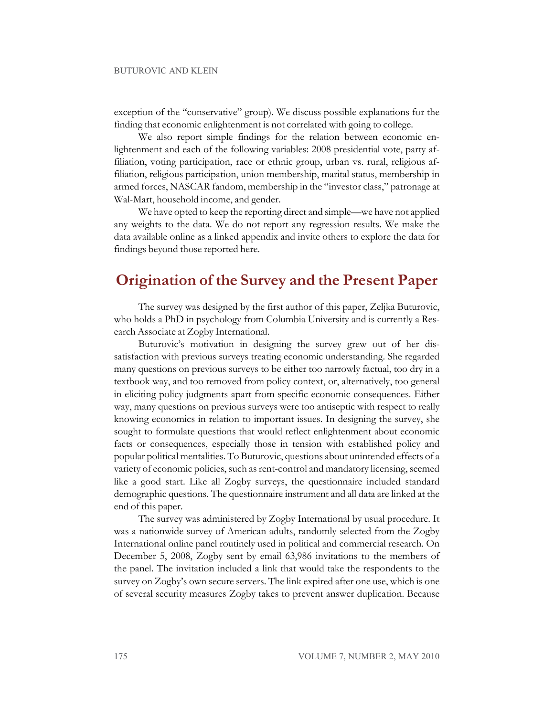exception of the "conservative" group). We discuss possible explanations for the finding that economic enlightenment is not correlated with going to college.

We also report simple findings for the relation between economic enlightenment and each of the following variables: 2008 presidential vote, party affiliation, voting participation, race or ethnic group, urban vs. rural, religious affiliation, religious participation, union membership, marital status, membership in armed forces, NASCAR fandom, membership in the "investor class," patronage at Wal-Mart, household income, and gender.

We have opted to keep the reporting direct and simple—we have not applied any weights to the data. We do not report any regression results. We make the data available online as a linked appendix and invite others to explore the data for findings beyond those reported here.

# **Origination of the Survey and the Present Paper**

The survey was designed by the first author of this paper, Zeljka Buturovic, who holds a PhD in psychology from Columbia University and is currently a Research Associate at Zogby International.

Buturovic's motivation in designing the survey grew out of her dissatisfaction with previous surveys treating economic understanding. She regarded many questions on previous surveys to be either too narrowly factual, too dry in a textbook way, and too removed from policy context, or, alternatively, too general in eliciting policy judgments apart from specific economic consequences. Either way, many questions on previous surveys were too antiseptic with respect to really knowing economics in relation to important issues. In designing the survey, she sought to formulate questions that would reflect enlightenment about economic facts or consequences, especially those in tension with established policy and popular political mentalities. To Buturovic, questions about unintended effects of a variety of economic policies, such as rent-control and mandatory licensing, seemed like a good start. Like all Zogby surveys, the questionnaire included standard demographic questions. The questionnaire instrument and all data are linked at the end of this paper.

The survey was administered by Zogby International by usual procedure. It was a nationwide survey of American adults, randomly selected from the Zogby International online panel routinely used in political and commercial research. On December 5, 2008, Zogby sent by email 63,986 invitations to the members of the panel. The invitation included a link that would take the respondents to the survey on Zogby's own secure servers. The link expired after one use, which is one of several security measures Zogby takes to prevent answer duplication. Because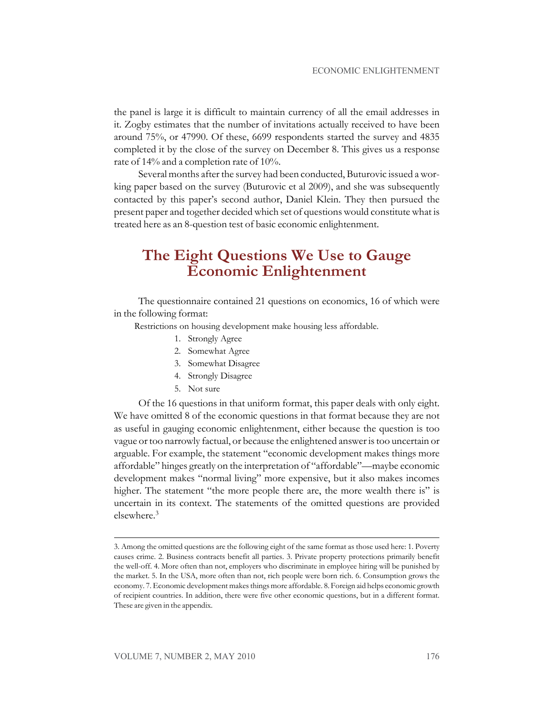the panel is large it is difficult to maintain currency of all the email addresses in it. Zogby estimates that the number of invitations actually received to have been around 75%, or 47990. Of these, 6699 respondents started the survey and 4835 completed it by the close of the survey on December 8. This gives us a response rate of 14% and a completion rate of 10%.

Several months after the survey had been conducted, Buturovic issued a working paper based on the survey (Buturovic et al 2009), and she was subsequently contacted by this paper's second author, Daniel Klein. They then pursued the present paper and together decided which set of questions would constitute what is treated here as an 8-question test of basic economic enlightenment.

# **The Eight Questions We Use to Gauge Economic Enlightenment**

The questionnaire contained 21 questions on economics, 16 of which were in the following format:

Restrictions on housing development make housing less affordable.

- 1. Strongly Agree
- 2. Somewhat Agree
- 3. Somewhat Disagree
- 4. Strongly Disagree
- 5. Not sure

Of the 16 questions in that uniform format, this paper deals with only eight. We have omitted 8 of the economic questions in that format because they are not as useful in gauging economic enlightenment, either because the question is too vague ortoo narrowly factual, or because the enlightened answeristoo uncertain or arguable. For example, the statement "economic development makes things more affordable" hinges greatly on the interpretation of "affordable"—maybe economic development makes "normal living" more expensive, but it also makes incomes higher. The statement "the more people there are, the more wealth there is" is uncertain in its context. The statements of the omitted questions are provided elsewhere.<sup>3</sup>

<sup>3.</sup> Among the omitted questions are the following eight of the same format as those used here: 1. Poverty causes crime. 2. Business contracts benefit all parties. 3. Private property protections primarily benefit the well-off. 4. More often than not, employers who discriminate in employee hiring will be punished by the market. 5. In the USA, more often than not, rich people were born rich. 6. Consumption grows the economy. 7. Economic development makes things more affordable. 8. Foreign aid helps economic growth of recipient countries. In addition, there were five other economic questions, but in a different format. These are given in the appendix.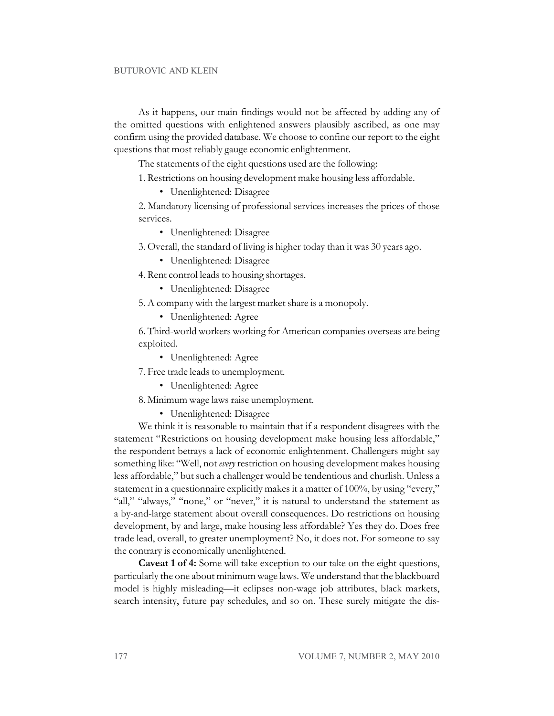As it happens, our main findings would not be affected by adding any of the omitted questions with enlightened answers plausibly ascribed, as one may confirm using the provided database. We choose to confine our report to the eight questions that most reliably gauge economic enlightenment.

The statements of the eight questions used are the following:

1. Restrictions on housing development make housing less affordable.

• Unenlightened: Disagree

2. Mandatory licensing of professional services increases the prices of those services.

• Unenlightened: Disagree

3. Overall, the standard of living is higher today than it was 30 years ago.

• Unenlightened: Disagree

4. Rent control leads to housing shortages.

• Unenlightened: Disagree

5. A company with the largest market share is a monopoly.

• Unenlightened: Agree

6. Third-world workers working for American companies overseas are being exploited.

• Unenlightened: Agree

7. Free trade leads to unemployment.

• Unenlightened: Agree

8. Minimum wage laws raise unemployment.

• Unenlightened: Disagree

We think it is reasonable to maintain that if a respondent disagrees with the statement "Restrictions on housing development make housing less affordable," the respondent betrays a lack of economic enlightenment. Challengers might say something like: "Well, not *every* restriction on housing development makes housing less affordable," but such a challenger would be tendentious and churlish. Unless a statement in a questionnaire explicitly makes it a matter of 100%, by using "every," "all," "always," "none," or "never," it is natural to understand the statement as a by-and-large statement about overall consequences. Do restrictions on housing development, by and large, make housing less affordable? Yes they do. Does free trade lead, overall, to greater unemployment? No, it does not. For someone to say the contrary is economically unenlightened.

**Caveat 1 of 4:** Some will take exception to our take on the eight questions, particularly the one about minimum wage laws. We understand that the blackboard model is highly misleading—it eclipses non-wage job attributes, black markets, search intensity, future pay schedules, and so on. These surely mitigate the dis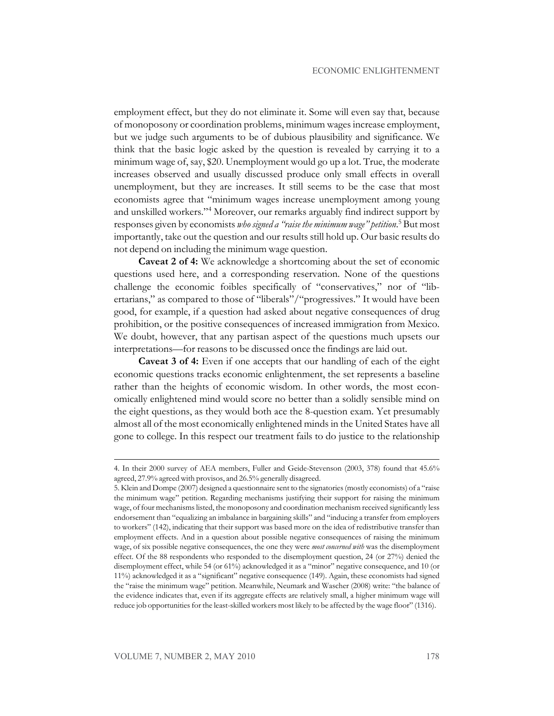employment effect, but they do not eliminate it. Some will even say that, because of monoposony or coordination problems, minimum wages increase employment, but we judge such arguments to be of dubious plausibility and significance. We think that the basic logic asked by the question is revealed by carrying it to a minimum wage of, say, \$20. Unemployment would go up a lot. True, the moderate increases observed and usually discussed produce only small effects in overall unemployment, but they are increases. It still seems to be the case that most economists agree that "minimum wages increase unemployment among young and unskilled workers."<sup>4</sup> Moreover, our remarks arguably find indirect support by responses given by economists *whosigned a "raise the minimum wage" petition*. <sup>5</sup> But most importantly, take out the question and our results still hold up. Our basic results do not depend on including the minimum wage question.

**Caveat 2 of 4:** We acknowledge a shortcoming about the set of economic questions used here, and a corresponding reservation. None of the questions challenge the economic foibles specifically of "conservatives," nor of "libertarians," as compared to those of "liberals"/"progressives." It would have been good, for example, if a question had asked about negative consequences of drug prohibition, or the positive consequences of increased immigration from Mexico. We doubt, however, that any partisan aspect of the questions much upsets our interpretations—for reasons to be discussed once the findings are laid out.

**Caveat 3 of 4:** Even if one accepts that our handling of each of the eight economic questions tracks economic enlightenment, the set represents a baseline rather than the heights of economic wisdom. In other words, the most economically enlightened mind would score no better than a solidly sensible mind on the eight questions, as they would both ace the 8-question exam. Yet presumably almost all of the most economically enlightened minds in the United States have all gone to college. In this respect our treatment fails to do justice to the relationship

<sup>4.</sup> In their 2000 survey of AEA members, Fuller and Geide-Stevenson (2003, 378) found that 45.6% agreed, 27.9% agreed with provisos, and 26.5% generally disagreed.

<sup>5.</sup> Klein and Dompe (2007) designed a questionnaire sent to the signatories(mostly economists) of a "raise the minimum wage" petition. Regarding mechanisms justifying their support for raising the minimum wage, of four mechanismslisted, the monoposony and coordination mechanism received significantly less endorsement than "equalizing an imbalance in bargaining skills" and "inducing a transfer from employers to workers" (142), indicating that their support was based more on the idea of redistributive transfer than employment effects. And in a question about possible negative consequences of raising the minimum wage, of six possible negative consequences, the one they were *most concerned with* was the disemployment effect. Of the 88 respondents who responded to the disemployment question, 24 (or 27%) denied the disemployment effect, while 54 (or 61%) acknowledged it as a "minor" negative consequence, and 10 (or 11%) acknowledged it as a "significant" negative consequence (149). Again, these economists had signed the "raise the minimum wage" petition. Meanwhile, Neumark and Wascher (2008) write: "the balance of the evidence indicates that, even if its aggregate effects are relatively small, a higher minimum wage will reduce job opportunities for the least-skilled workers most likely to be affected by the wage floor" (1316).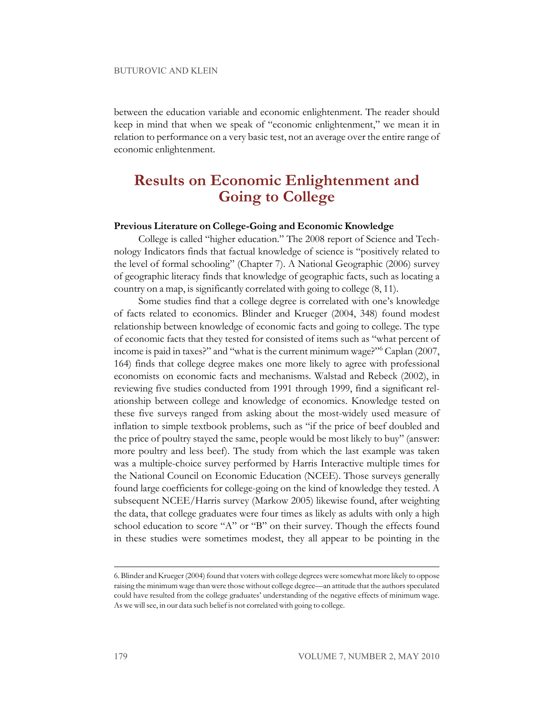between the education variable and economic enlightenment. The reader should keep in mind that when we speak of "economic enlightenment," we mean it in relation to performance on a very basic test, not an average over the entire range of economic enlightenment.

### **Results on Economic Enlightenment and Going to College**

#### **Previous Literature on College-Going and Economic Knowledge**

College is called "higher education." The 2008 report of Science and Technology Indicators finds that factual knowledge of science is "positively related to the level of formal schooling" (Chapter 7). A National Geographic (2006) survey of geographic literacy finds that knowledge of geographic facts, such as locating a country on a map, is significantly correlated with going to college (8, 11).

Some studies find that a college degree is correlated with one's knowledge of facts related to economics. Blinder and Krueger (2004, 348) found modest relationship between knowledge of economic facts and going to college. The type of economic facts that they tested for consisted of items such as "what percent of income is paid in taxes?" and "what is the current minimum wage?"<sup>6</sup> Caplan (2007, 164) finds that college degree makes one more likely to agree with professional economists on economic facts and mechanisms. Walstad and Rebeck (2002), in reviewing five studies conducted from 1991 through 1999, find a significant relationship between college and knowledge of economics. Knowledge tested on these five surveys ranged from asking about the most-widely used measure of inflation to simple textbook problems, such as "if the price of beef doubled and the price of poultry stayed the same, people would be most likely to buy" (answer: more poultry and less beef). The study from which the last example was taken was a multiple-choice survey performed by Harris Interactive multiple times for the National Council on Economic Education (NCEE). Those surveys generally found large coefficients for college-going on the kind of knowledge they tested. A subsequent NCEE/Harris survey (Markow 2005) likewise found, after weighting the data, that college graduates were four times as likely as adults with only a high school education to score "A" or "B" on their survey. Though the effects found in these studies were sometimes modest, they all appear to be pointing in the

<sup>6.</sup> Blinder and Krueger(2004) found that voterswith college degreeswere somewhat more likely to oppose raising the minimum wage than were those without college degree—an attitude that the authors speculated could have resulted from the college graduates' understanding of the negative effects of minimum wage. As we will see, in our data such belief is not correlated with going to college.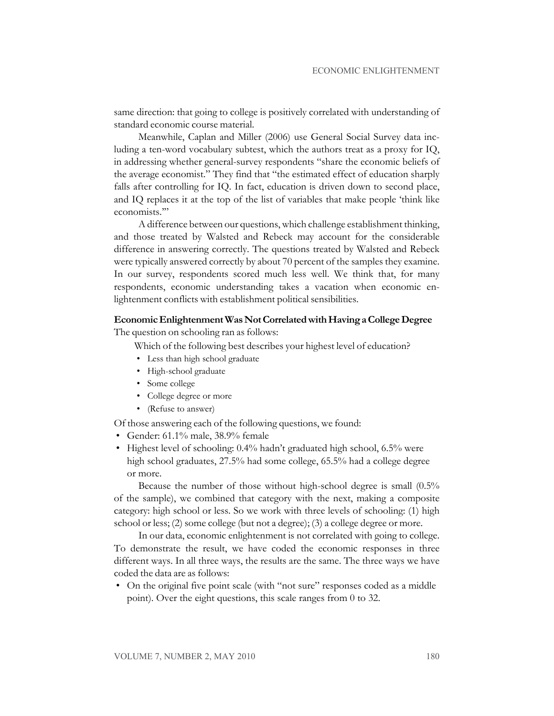same direction: that going to college is positively correlated with understanding of standard economic course material.

Meanwhile, Caplan and Miller (2006) use General Social Survey data including a ten-word vocabulary subtest, which the authors treat as a proxy for IQ, in addressing whether general-survey respondents "share the economic beliefs of the average economist." They find that "the estimated effect of education sharply falls after controlling for IQ. In fact, education is driven down to second place, and IQ replaces it at the top of the list of variables that make people 'think like economists.'"

Adifference between our questions, which challenge establishment thinking, and those treated by Walsted and Rebeck may account for the considerable difference in answering correctly. The questions treated by Walsted and Rebeck were typically answered correctly by about 70 percent of the samples they examine. In our survey, respondents scored much less well. We think that, for many respondents, economic understanding takes a vacation when economic enlightenment conflicts with establishment political sensibilities.

#### **EconomicEnlightenmentWasNotCorrelatedwithHavingaCollegeDegree**

The question on schooling ran as follows:

Which of the following best describes your highest level of education?

- Less than high school graduate
- High-school graduate
- Some college
- College degree or more
- (Refuse to answer)

Of those answering each of the following questions, we found:

- Gender: 61.1% male, 38.9% female
- Highest level of schooling: 0.4% hadn't graduated high school, 6.5% were high school graduates, 27.5% had some college, 65.5% had a college degree or more.

Because the number of those without high-school degree is small (0.5% of the sample), we combined that category with the next, making a composite category: high school or less. So we work with three levels of schooling: (1) high school or less; (2) some college (but not a degree); (3) a college degree or more.

In our data, economic enlightenment is not correlated with going to college. To demonstrate the result, we have coded the economic responses in three different ways. In all three ways, the results are the same. The three ways we have coded the data are as follows:

• On the original five point scale (with "not sure" responses coded as a middle point). Over the eight questions, this scale ranges from 0 to 32.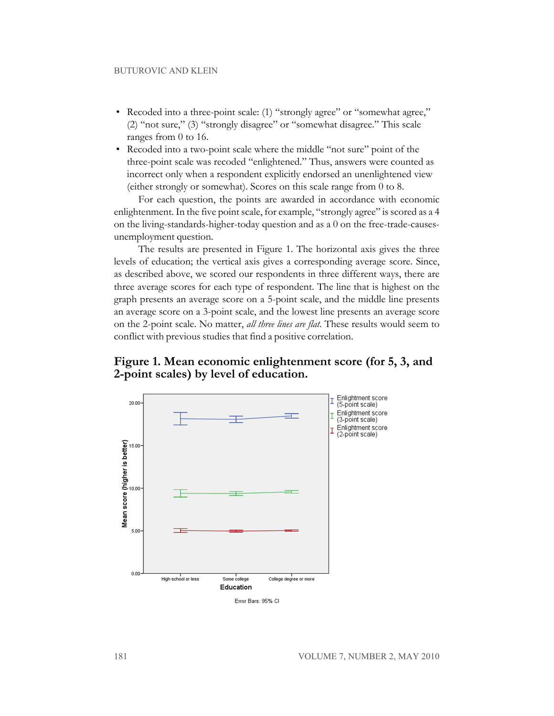- Recoded into a three-point scale: (1) "strongly agree" or "somewhat agree," (2) "not sure," (3) "strongly disagree" or "somewhat disagree." This scale ranges from 0 to 16.
- Recoded into a two-point scale where the middle "not sure" point of the three-point scale was recoded "enlightened." Thus, answers were counted as incorrect only when a respondent explicitly endorsed an unenlightened view (either strongly or somewhat). Scores on this scale range from 0 to 8.

For each question, the points are awarded in accordance with economic enlightenment. In the five point scale, for example, "strongly agree" is scored as a 4 on the living-standards-higher-today question and as a 0 on the free-trade-causesunemployment question.

The results are presented in Figure 1. The horizontal axis gives the three levels of education; the vertical axis gives a corresponding average score. Since, as described above, we scored our respondents in three different ways, there are three average scores for each type of respondent. The line that is highest on the graph presents an average score on a 5-point scale, and the middle line presents an average score on a 3-point scale, and the lowest line presents an average score on the 2-point scale. No matter, *all three lines are flat*. These results would seem to conflict with previous studies that find a positive correlation.

**Figure 1. Mean economic enlightenment score (for 5, 3, and 2-point scales) by level of education.**

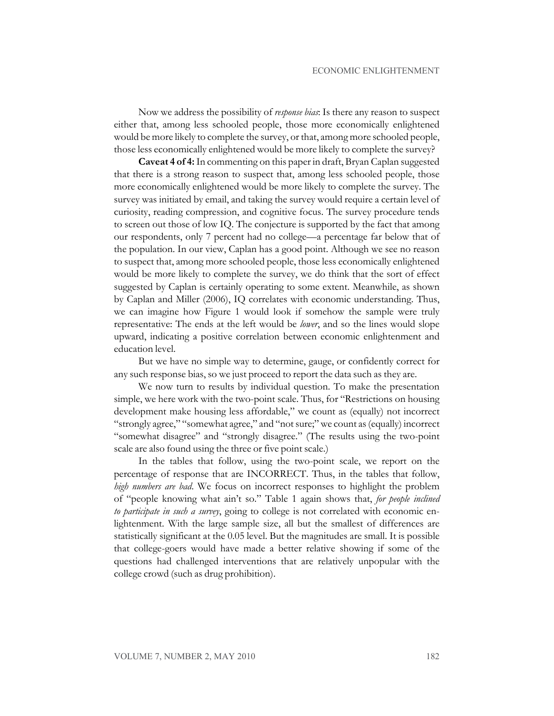Now we address the possibility of *response bias*: Is there any reason to suspect either that, among less schooled people, those more economically enlightened would be more likely to complete the survey, or that, among more schooled people, those less economically enlightened would be more likely to complete the survey?

**Caveat 4 of 4:**In commenting on this paper in draft, Bryan Caplan suggested that there is a strong reason to suspect that, among less schooled people, those more economically enlightened would be more likely to complete the survey. The survey was initiated by email, and taking the survey would require a certain level of curiosity, reading compression, and cognitive focus. The survey procedure tends to screen out those of low IQ. The conjecture is supported by the fact that among our respondents, only 7 percent had no college—a percentage far below that of the population. In our view, Caplan has a good point. Although we see no reason to suspect that, among more schooled people, those less economically enlightened would be more likely to complete the survey, we do think that the sort of effect suggested by Caplan is certainly operating to some extent. Meanwhile, as shown by Caplan and Miller (2006), IQ correlates with economic understanding. Thus, we can imagine how Figure 1 would look if somehow the sample were truly representative: The ends at the left would be *lower*, and so the lines would slope upward, indicating a positive correlation between economic enlightenment and education level.

But we have no simple way to determine, gauge, or confidently correct for any such response bias, so we just proceed to report the data such as they are.

We now turn to results by individual question. To make the presentation simple, we here work with the two-point scale. Thus, for "Restrictions on housing development make housing less affordable," we count as (equally) not incorrect "strongly agree," "somewhat agree," and "notsure;"we count as(equally) incorrect "somewhat disagree" and "strongly disagree." (The results using the two-point scale are also found using the three or five point scale.)

In the tables that follow, using the two-point scale, we report on the percentage of response that are INCORRECT. Thus, in the tables that follow, *high numbers are bad*. We focus on incorrect responses to highlight the problem of "people knowing what ain't so." Table 1 again shows that, *for people inclined to participate in such a survey*, going to college is not correlated with economic enlightenment. With the large sample size, all but the smallest of differences are statistically significant at the 0.05 level. But the magnitudes are small. It is possible that college-goers would have made a better relative showing if some of the questions had challenged interventions that are relatively unpopular with the college crowd (such as drug prohibition).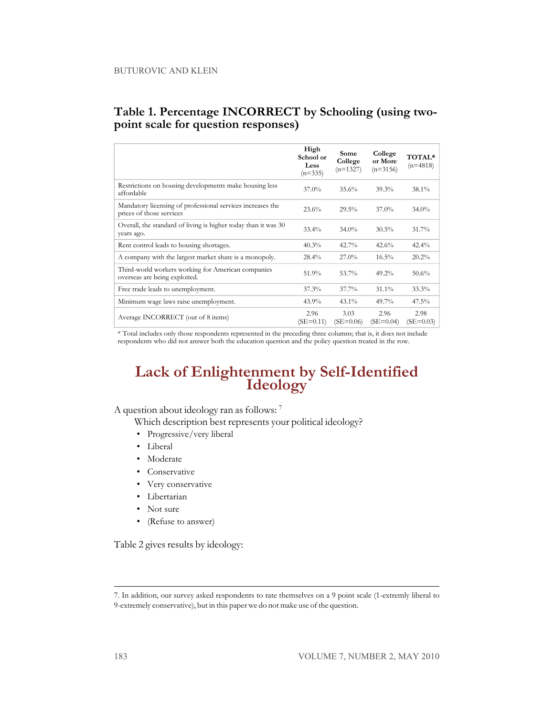#### **Table 1. Percentage INCORRECT by Schooling (using twopoint scale for question responses)**

|                                                                                        | High<br>School or<br>Less<br>$(n=335)$ | Some<br>College<br>$(n=1327)$ | College<br>or More<br>$(n=3156)$ | TOTAL*<br>$(n=4818)$ |
|----------------------------------------------------------------------------------------|----------------------------------------|-------------------------------|----------------------------------|----------------------|
| Restrictions on housing developments make housing less<br>affordable                   | $37.0\%$                               | 35.6%                         | 39.3%                            | $38.1\%$             |
| Mandatory licensing of professional services increases the<br>prices of those services | 23.6%                                  | 29.5%                         | $37.0\%$                         | $34.0\%$             |
| Overall, the standard of living is higher today than it was 30<br>years ago.           | $33.4\%$                               | $34.0\%$                      | $30.5\%$                         | 31.7%                |
| Rent control leads to housing shortages.                                               | 40.3%                                  | 42.7%                         | 42.6%                            | $42.4\%$             |
| A company with the largest market share is a monopoly.                                 | $28.4\%$                               | $27.0\%$                      | $16.5\%$                         | 20.2%                |
| Third-world workers working for American companies<br>overseas are being exploited.    | 51.9%                                  | 53.7%                         | $49.2\%$                         | 50.6%                |
| Free trade leads to unemployment.                                                      | 37.3%                                  | 37.7%                         | $31.1\%$                         | 33.3%                |
| Minimum wage laws raise unemployment.                                                  | 43.9%                                  | $43.1\%$                      | 49.7%                            | $47.5\%$             |
| Average INCORRECT (out of 8 items)                                                     | 2.96<br>$(SE=0.11)$                    | 3.03<br>$(SE=0.06)$           | 2.96<br>$(SE=0.04)$              | 2.98<br>$(SE=0.03)$  |

\* Total includes only those respondents represented in the preceding three columns; that is, it does not include respondents who did not answer both the education question and the policy question treated in the row.

### **Lack of Enlightenment by Self-Identified Ideology**

A question about ideology ran as follows: <sup>7</sup>

Which description best represents your political ideology?

- Progressive/very liberal
- Liberal
- Moderate
- Conservative
- Very conservative
- Libertarian
- Not sure
- (Refuse to answer)

Table 2 gives results by ideology:

<sup>7.</sup> In addition, our survey asked respondents to rate themselves on a 9 point scale (1-extremly liberal to 9-extremely conservative), but in this paper we do not make use of the question.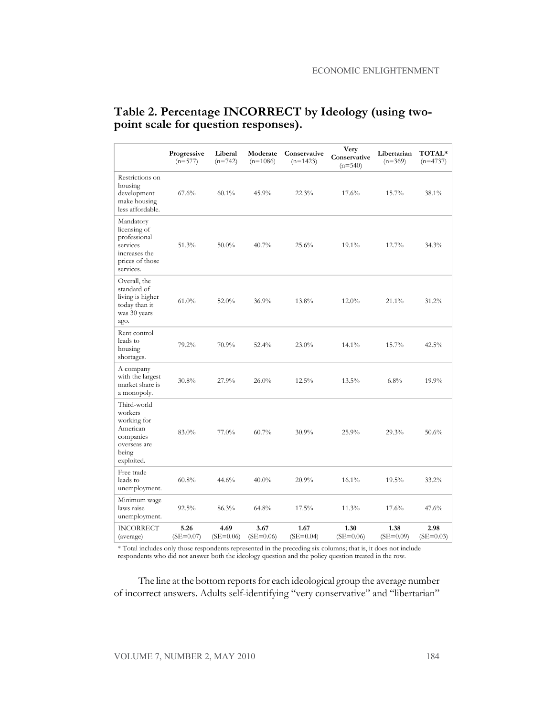|                                                                                                        | Progressive<br>$(n=577)$ | Liberal<br>$(n=742)$ | Moderate<br>$(n=1086)$ | Conservative<br>$(n=1423)$ | Very<br>Conservative<br>$(n=540)$ | Libertarian<br>$(n=369)$ | <b>TOTAL*</b><br>$(n=4737)$ |
|--------------------------------------------------------------------------------------------------------|--------------------------|----------------------|------------------------|----------------------------|-----------------------------------|--------------------------|-----------------------------|
| Restrictions on<br>housing<br>development<br>make housing<br>less affordable.                          | 67.6%                    | $60.1\%$             | 45.9%                  | 22.3%                      | 17.6%                             | 15.7%                    | 38.1%                       |
| Mandatory<br>licensing of<br>professional<br>services<br>increases the<br>prices of those<br>services. | 51.3%                    | $50.0\%$             | 40.7%                  | 25.6%                      | 19.1%                             | 12.7%                    | 34.3%                       |
| Overall, the<br>standard of<br>living is higher<br>today than it<br>was 30 years<br>ago.               | $61.0\%$                 | 52.0%                | 36.9%                  | 13.8%                      | 12.0%                             | $21.1\%$                 | $31.2\%$                    |
| Rent control<br>leads to<br>housing<br>shortages.                                                      | 79.2%                    | 70.9%                | 52.4%                  | 23.0%                      | 14.1%                             | 15.7%                    | 42.5%                       |
| A company<br>with the largest<br>market share is<br>a monopoly.                                        | 30.8%                    | 27.9%                | 26.0%                  | 12.5%                      | 13.5%                             | 6.8%                     | 19.9%                       |
| Third-world<br>workers<br>working for<br>American<br>companies<br>overseas are<br>being<br>exploited.  | 83.0%                    | 77.0%                | 60.7%                  | 30.9%                      | 25.9%                             | 29.3%                    | 50.6%                       |
| Free trade<br>leads to<br>unemployment.                                                                | 60.8%                    | 44.6%                | 40.0%                  | 20.9%                      | 16.1%                             | 19.5%                    | 33.2%                       |
| Minimum wage<br>laws raise<br>unemployment.                                                            | 92.5%                    | 86.3%                | 64.8%                  | $17.5\%$                   | 11.3%                             | 17.6%                    | 47.6%                       |
| <b>INCORRECT</b><br>(average)                                                                          | 5.26<br>$(SE=0.07)$      | 4.69<br>$(SE=0.06)$  | 3.67<br>$(SE=0.06)$    | 1.67<br>$(SE=0.04)$        | 1.30<br>$(SE=0.06)$               | 1.38<br>$(SE=0.09)$      | 2.98<br>$(SE=0.03)$         |

#### **Table 2. Percentage INCORRECT by Ideology (using twopoint scale for question responses).**

\* Total includes only those respondents represented in the preceding six columns; that is, it does not include respondents who did not answer both the ideology question and the policy question treated in the row.

The line at the bottom reports for each ideological group the average number of incorrect answers. Adults self-identifying "very conservative" and "libertarian"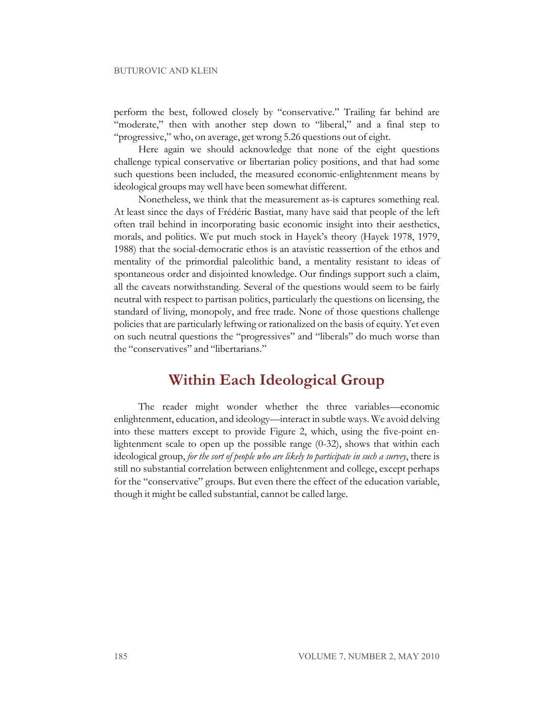#### BUTUROVIC AND KLEIN

perform the best, followed closely by "conservative." Trailing far behind are "moderate," then with another step down to "liberal," and a final step to "progressive," who, on average, get wrong 5.26 questions out of eight.

Here again we should acknowledge that none of the eight questions challenge typical conservative or libertarian policy positions, and that had some such questions been included, the measured economic-enlightenment means by ideological groups may well have been somewhat different.

Nonetheless, we think that the measurement as-is captures something real. At least since the days of Frédéric Bastiat, many have said that people of the left often trail behind in incorporating basic economic insight into their aesthetics, morals, and politics. We put much stock in Hayek's theory (Hayek 1978, 1979, 1988) that the social-democratic ethos is an atavistic reassertion of the ethos and mentality of the primordial paleolithic band, a mentality resistant to ideas of spontaneous order and disjointed knowledge. Our findings support such a claim, all the caveats notwithstanding. Several of the questions would seem to be fairly neutral with respect to partisan politics, particularly the questions on licensing, the standard of living, monopoly, and free trade. None of those questions challenge policies that are particularly leftwing or rationalized on the basis of equity. Yet even on such neutral questions the "progressives" and "liberals" do much worse than the "conservatives" and "libertarians."

### **Within Each Ideological Group**

The reader might wonder whether the three variables—economic enlightenment, education, and ideology—interact in subtle ways. We avoid delving into these matters except to provide Figure 2, which, using the five-point enlightenment scale to open up the possible range (0-32), shows that within each ideological group, *for the sort of people who are likely to participate in such a survey*, there is still no substantial correlation between enlightenment and college, except perhaps for the "conservative" groups. But even there the effect of the education variable, though it might be called substantial, cannot be called large.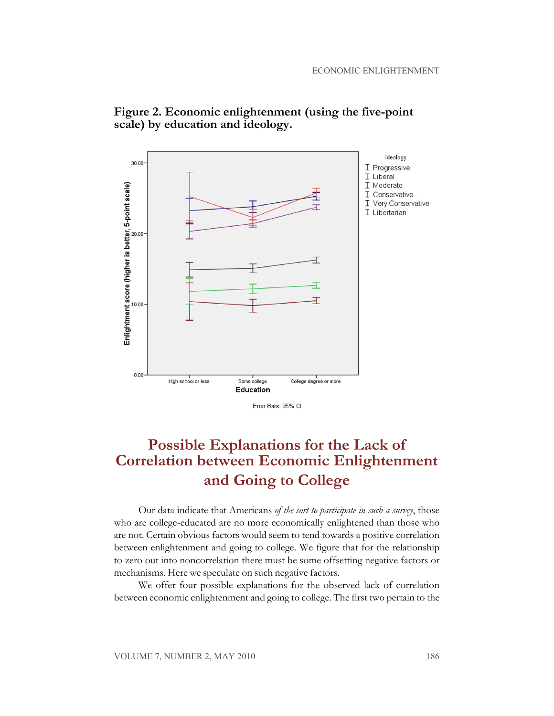



Error Bars: 95% CI

# **Possible Explanations for the Lack of Correlation between Economic Enlightenment and Going to College**

Our data indicate that Americans *of the sort to participate in such a survey*, those who are college-educated are no more economically enlightened than those who are not. Certain obvious factors would seem to tend towards a positive correlation between enlightenment and going to college. We figure that for the relationship to zero out into noncorrelation there must be some offsetting negative factors or mechanisms. Here we speculate on such negative factors.

We offer four possible explanations for the observed lack of correlation between economic enlightenment and going to college. The first two pertain to the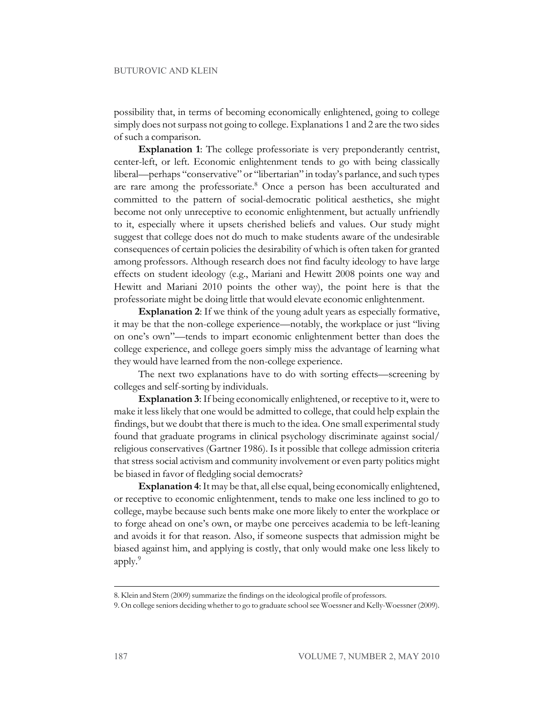possibility that, in terms of becoming economically enlightened, going to college simply does not surpass not going to college. Explanations 1 and 2 are the two sides of such a comparison.

**Explanation 1**: The college professoriate is very preponderantly centrist, center-left, or left. Economic enlightenment tends to go with being classically liberal—perhaps "conservative" or "libertarian" in today's parlance, and such types are rare among the professoriate.<sup>8</sup> Once a person has been acculturated and committed to the pattern of social-democratic political aesthetics, she might become not only unreceptive to economic enlightenment, but actually unfriendly to it, especially where it upsets cherished beliefs and values. Our study might suggest that college does not do much to make students aware of the undesirable consequences of certain policies the desirability of which is often taken for granted among professors. Although research does not find faculty ideology to have large effects on student ideology (e.g., Mariani and Hewitt 2008 points one way and Hewitt and Mariani 2010 points the other way), the point here is that the professoriate might be doing little that would elevate economic enlightenment.

**Explanation 2**: If we think of the young adult years as especially formative, it may be that the non-college experience—notably, the workplace or just "living on one's own"—tends to impart economic enlightenment better than does the college experience, and college goers simply miss the advantage of learning what they would have learned from the non-college experience.

The next two explanations have to do with sorting effects—screening by colleges and self-sorting by individuals.

**Explanation 3**: If being economically enlightened, or receptive to it, were to make it less likely that one would be admitted to college, that could help explain the findings, but we doubt that there is much to the idea. One small experimental study found that graduate programs in clinical psychology discriminate against social/ religious conservatives (Gartner 1986). Is it possible that college admission criteria that stress social activism and community involvement or even party politics might be biased in favor of fledgling social democrats?

**Explanation 4**:It may be that, all else equal, being economically enlightened, or receptive to economic enlightenment, tends to make one less inclined to go to college, maybe because such bents make one more likely to enter the workplace or to forge ahead on one's own, or maybe one perceives academia to be left-leaning and avoids it for that reason. Also, if someone suspects that admission might be biased against him, and applying is costly, that only would make one less likely to apply.<sup>9</sup>

<sup>8.</sup> Klein and Stern (2009) summarize the findings on the ideological profile of professors.

<sup>9.</sup> On college seniors deciding whether to go to graduate schoolsee Woessner and Kelly-Woessner (2009).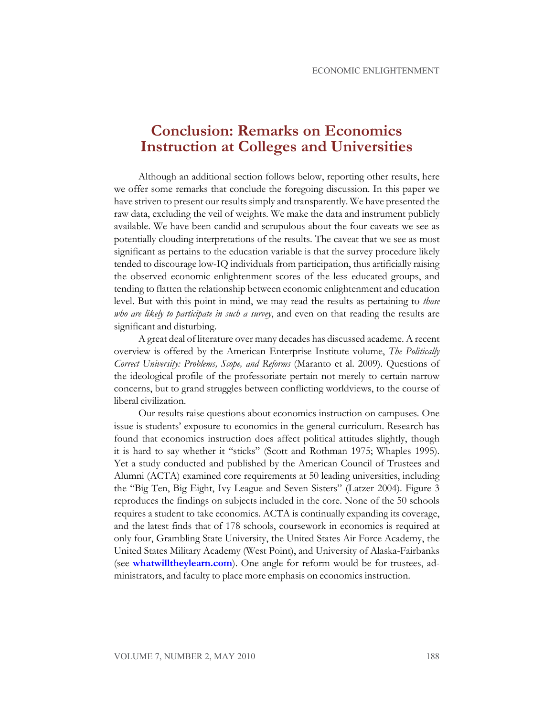# **Conclusion: Remarks on Economics Instruction at Colleges and Universities**

Although an additional section follows below, reporting other results, here we offer some remarks that conclude the foregoing discussion. In this paper we have striven to present our results simply and transparently. We have presented the raw data, excluding the veil of weights. We make the data and instrument publicly available. We have been candid and scrupulous about the four caveats we see as potentially clouding interpretations of the results. The caveat that we see as most significant as pertains to the education variable is that the survey procedure likely tended to discourage low-IQ individuals from participation, thus artificially raising the observed economic enlightenment scores of the less educated groups, and tending to flatten the relationship between economic enlightenment and education level. But with this point in mind, we may read the results as pertaining to *those who are likely to participate in such a survey*, and even on that reading the results are significant and disturbing.

A great deal of literature over many decades has discussed academe. A recent overview is offered by the American Enterprise Institute volume, *The Politically Correct University: Problems, Scope, and Reforms* (Maranto et al. 2009). Questions of the ideological profile of the professoriate pertain not merely to certain narrow concerns, but to grand struggles between conflicting worldviews, to the course of liberal civilization.

Our results raise questions about economics instruction on campuses. One issue is students' exposure to economics in the general curriculum. Research has found that economics instruction does affect political attitudes slightly, though it is hard to say whether it "sticks" (Scott and Rothman 1975; Whaples 1995). Yet a study conducted and published by the American Council of Trustees and Alumni (ACTA) examined core requirements at 50 leading universities, including the "Big Ten, Big Eight, Ivy League and Seven Sisters" (Latzer 2004). Figure 3 reproduces the findings on subjects included in the core. None of the 50 schools requires a student to take economics. ACTA is continually expanding its coverage, and the latest finds that of 178 schools, coursework in economics is required at only four, Grambling State University, the United States Air Force Academy, the United States Military Academy (West Point), and University of Alaska-Fairbanks (see **[whatwilltheylearn.com](http://www.whatwilltheylearn.com/disciplines/economics)**). One angle for reform would be for trustees, administrators, and faculty to place more emphasis on economics instruction.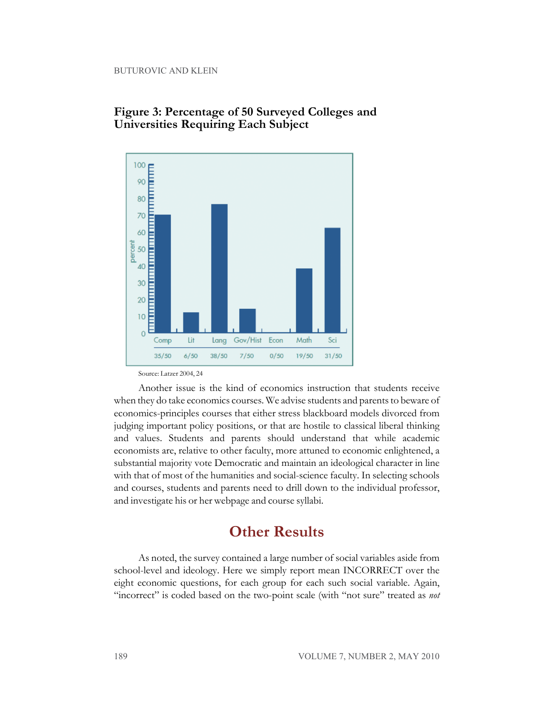

#### **Figure 3: Percentage of 50 Surveyed Colleges and Universities Requiring Each Subject**

Source: Latzer 2004, 24

Another issue is the kind of economics instruction that students receive when they do take economics courses. We advise students and parents to beware of economics-principles courses that either stress blackboard models divorced from judging important policy positions, or that are hostile to classical liberal thinking and values. Students and parents should understand that while academic economists are, relative to other faculty, more attuned to economic enlightened, a substantial majority vote Democratic and maintain an ideological character in line with that of most of the humanities and social-science faculty. In selecting schools and courses, students and parents need to drill down to the individual professor, and investigate his or her webpage and course syllabi.

### **Other Results**

As noted, the survey contained a large number of social variables aside from school-level and ideology. Here we simply report mean INCORRECT over the eight economic questions, for each group for each such social variable. Again, "incorrect" is coded based on the two-point scale (with "not sure" treated as *not*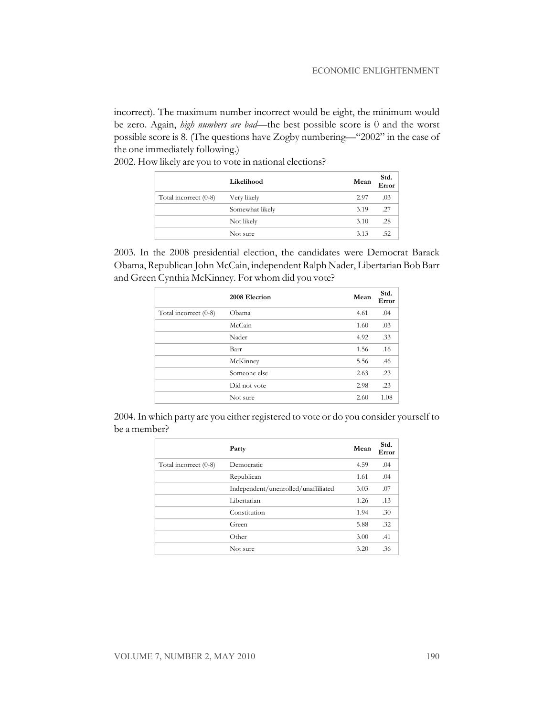incorrect). The maximum number incorrect would be eight, the minimum would be zero. Again, *high numbers are bad*—the best possible score is 0 and the worst possible score is 8. (The questions have Zogby numbering—"2002" in the case of the one immediately following.)

|                       | Likelihood      | Mean | Std.<br>Error |
|-----------------------|-----------------|------|---------------|
| Total incorrect (0-8) | Very likely     | 2.97 | .03           |
|                       | Somewhat likely | 3.19 | .27           |
|                       | Not likely      | 3.10 | .28           |
|                       | Not sure        | 3.13 | .52           |

2002. How likely are you to vote in national elections?

2003. In the 2008 presidential election, the candidates were Democrat Barack Obama, Republican John McCain, independent Ralph Nader, Libertarian Bob Barr and Green Cynthia McKinney. For whom did you vote?

|                       | 2008 Election | Mean | Std.<br>Error |
|-----------------------|---------------|------|---------------|
| Total incorrect (0-8) | Obama         | 4.61 | .04           |
|                       | McCain        | 1.60 | .03           |
|                       | Nader         | 4.92 | .33           |
|                       | Barr          | 1.56 | .16           |
|                       | McKinney      | 5.56 | .46           |
|                       | Someone else  | 2.63 | .23           |
|                       | Did not vote  | 2.98 | .23           |
|                       | Not sure      | 2.60 | 1.08          |

2004. In which party are you either registered to vote or do you consider yourself to be a member?

|                       | Party                               | Mean | Std.<br>Error |
|-----------------------|-------------------------------------|------|---------------|
| Total incorrect (0-8) | Democratic                          | 4.59 | .04           |
|                       | Republican                          | 1.61 | .04           |
|                       | Independent/unenrolled/unaffiliated | 3.03 | .07           |
|                       | Libertarian                         | 1.26 | .13           |
|                       | Constitution                        | 1.94 | .30           |
|                       | Green                               | 5.88 | .32           |
|                       | Other                               | 3.00 | .41           |
|                       | Not sure                            | 3.20 | .36           |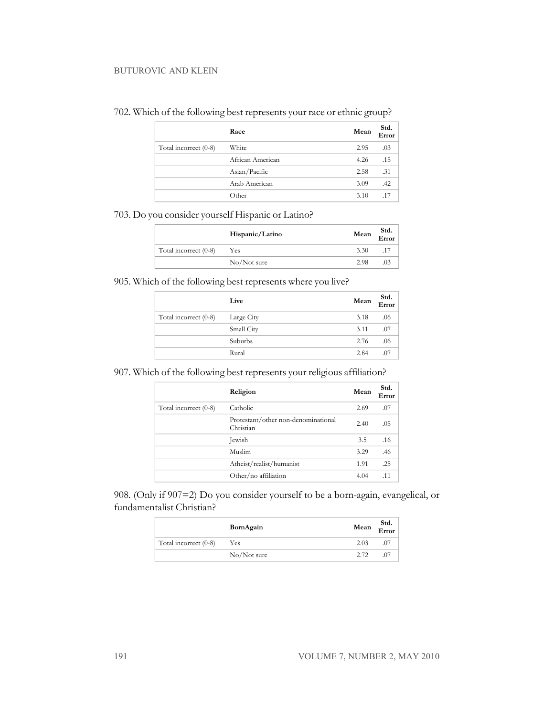#### BUTUROVIC AND KLEIN

|                       | Race             | Mean | Std.<br>Error |
|-----------------------|------------------|------|---------------|
| Total incorrect (0-8) | White            | 2.95 | .03           |
|                       | African American | 4.26 | .15           |
|                       | Asian/Pacific    | 2.58 | .31           |
|                       | Arab American    | 3.09 | .42           |
|                       | Other            | 3.10 | .17           |

#### 702. Which of the following best represents your race or ethnic group?

703. Do you consider yourself Hispanic or Latino?

|                       | Hispanic/Latino | Mean | Std.<br>Error |
|-----------------------|-----------------|------|---------------|
| Total incorrect (0-8) | Yes             | 3.30 |               |
|                       | $No/N$ ot sure  | 2.98 | 03            |

905. Which of the following best represents where you live?

|                       | Live       | Mean | Std.<br>Error |
|-----------------------|------------|------|---------------|
| Total incorrect (0-8) | Large City | 3.18 | .06           |
|                       | Small City | 3.11 | .07           |
|                       | Suburbs    | 2.76 | .06           |
|                       | Rural      | 2.84 | .07           |

907. Which of the following best represents your religious affiliation?

|                       | Religion                                         | Mean | Std.<br>Error |
|-----------------------|--------------------------------------------------|------|---------------|
| Total incorrect (0-8) | Catholic                                         | 2.69 | .07           |
|                       | Protestant/other non-denominational<br>Christian | 2.40 | .05           |
|                       | Jewish                                           | 3.5  | .16           |
|                       | Muslim                                           | 3.29 | .46           |
|                       | Atheist/realist/humanist                         | 1.91 | .25           |
|                       | Other/no affiliation                             | 4.04 | $.1^{\circ}$  |

908. (Only if 907=2) Do you consider yourself to be a born-again, evangelical, or fundamentalist Christian?

|                       | BornAgain      | Mean | Std.<br>Error |
|-----------------------|----------------|------|---------------|
| Total incorrect (0-8) | Yes            | 2.03 | .0            |
|                       | $No/N$ ot sure | 2.72 |               |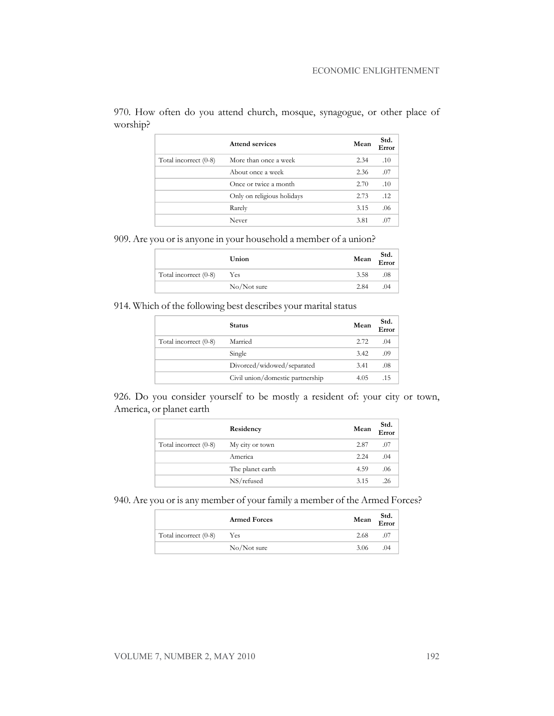|                       | Attend services            | Mean | Std.<br>Error |
|-----------------------|----------------------------|------|---------------|
| Total incorrect (0-8) | More than once a week      | 2.34 | .10           |
|                       | About once a week          | 2.36 | .07           |
|                       | Once or twice a month      | 2.70 | .10           |
|                       | Only on religious holidays | 2.73 | .12           |
|                       | Rarely                     | 3.15 | .06           |
|                       | Never                      | 3.81 | .07           |

970. How often do you attend church, mosque, synagogue, or other place of worship?

909. Are you or is anyone in your household a member of a union?

|                       | Union          | Mean | Std.<br>Error |
|-----------------------|----------------|------|---------------|
| Total incorrect (0-8) | Yes            | 3.58 | .08           |
|                       | $No/N$ ot sure | 2.84 | (1)4          |

914. Which of the following best describes your marital status

|                       | <b>Status</b>                    | Mean | Std.<br>$E_{\text{rrot}}$ |
|-----------------------|----------------------------------|------|---------------------------|
| Total incorrect (0-8) | Married                          | 2.72 | .04                       |
|                       | Single                           | 3.42 | .09                       |
|                       | Divorced/widowed/separated       | 3.41 | .08                       |
|                       | Civil union/domestic partnership | 4.05 | .15                       |

926. Do you consider yourself to be mostly a resident of: your city or town, America, or planet earth

|                       | Residency        | Mean | Std.<br>Error |
|-----------------------|------------------|------|---------------|
| Total incorrect (0-8) | My city or town  | 2.87 | .07           |
|                       | America          | 2.24 | .04           |
|                       | The planet earth | 4.59 | .06           |
|                       | NS/refused       | 3.15 | .26           |

940. Are you or is any member of your family a member of the Armed Forces?

|                       | <b>Armed Forces</b> | Mean | Std.<br>$\overline{\text{Error}}$ |
|-----------------------|---------------------|------|-----------------------------------|
| Total incorrect (0-8) | Yes                 | 2.68 |                                   |
|                       | $No/N$ ot sure      | 3.06 | .04                               |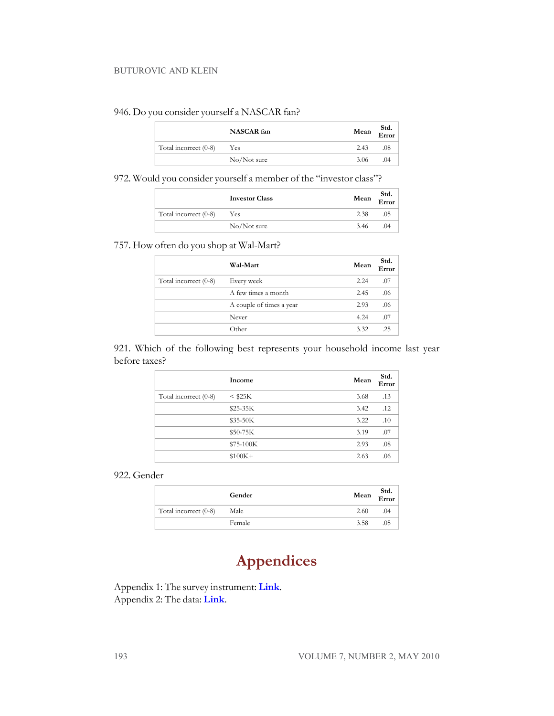#### BUTUROVIC AND KLEIN

#### 946. Do you consider yourself a NASCAR fan?

|                       | NASCAR fan     | Mean | Std.<br>$\overline{\text{Error}}$ |
|-----------------------|----------------|------|-----------------------------------|
| Total incorrect (0-8) | Yes            | 2.43 | .08                               |
|                       | $No/N$ ot sure | 3.06 | $^{(14)}$                         |

972. Would you consider yourself a member of the "investor class"?

|                       | <b>Investor Class</b> | Mean | Std.<br>Error |
|-----------------------|-----------------------|------|---------------|
| Total incorrect (0-8) | Yes                   | 2.38 |               |
|                       | $No/N$ ot sure        | 3.46 | (1)4          |

#### 757. How often do you shop at Wal-Mart?

|                       | Wal-Mart                 | Mean | Std.<br>Error |
|-----------------------|--------------------------|------|---------------|
| Total incorrect (0-8) | Every week               | 2.24 | .07           |
|                       | A few times a month      | 2.45 | .06           |
|                       | A couple of times a year | 2.93 | .06           |
|                       | Never                    | 4.24 | .07           |
|                       | Other                    | 3.32 |               |

921. Which of the following best represents your household income last year before taxes?

|                       | Income       | Mean | Std.<br>Error |
|-----------------------|--------------|------|---------------|
| Total incorrect (0-8) | $<$ \$25 $K$ | 3.68 | .13           |
|                       | $$25-35K$    | 3.42 | .12           |
|                       | \$35-50K     | 3.22 | .10           |
|                       | \$50-75K     | 3.19 | .07           |
|                       | $$75-100K$   | 2.93 | .08           |
|                       | $$100K+$     | 2.63 | .06           |

922. Gender

|                       | Gender | Mean | Std.<br>Error |
|-----------------------|--------|------|---------------|
| Total incorrect (0-8) | Male   | 2.60 | (1)4          |
|                       | Female | 3.58 |               |

# **Appendices**

Appendix 1: The survey instrument: **[Link](http://econjwatch.org/file_download/423/ButurovicKleinAppendix1May2010.doc)**. Appendix 2: The data: **[Link](http://econjwatch.org/file_download/424/ButurovicKleinAppendix2May2010.xls)**.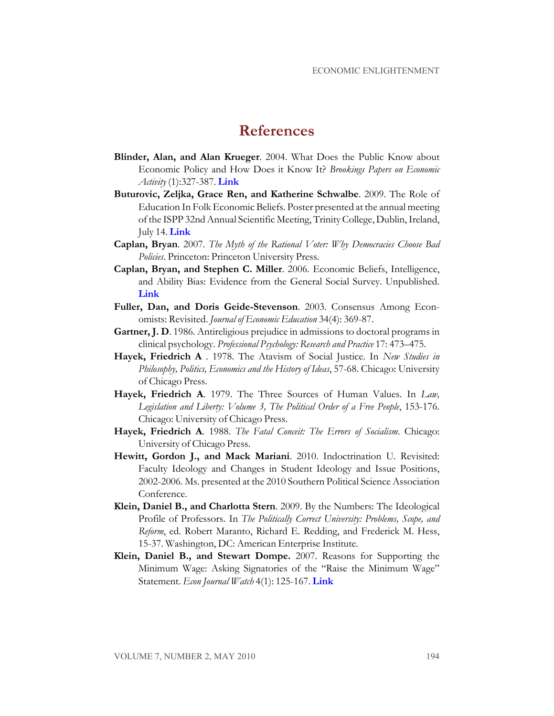### **References**

- **Blinder, Alan, and Alan Krueger**. 2004. What Does the Public Know about Economic Policy and How Does it Know It? *Brookings Papers on Economic Activity* (1):327-387. **[Link](http://muse.jhu.edu/login?uri=/journals/brookings_papers_on_economic_activity/v2004/2004.1blinder.pdf)**
- **Buturovic, Zeljka, Grace Ren, and Katherine Schwalbe**. 2009. The Role of Education In Folk Economic Beliefs. Poster presented at the annual meeting of the ISPP 32nd Annual Scientific Meeting, Trinity College, Dublin, Ireland, July 14. **[Link](http://www.allacademic.com/meta/p314582_index.html)**
- **Caplan, Bryan**. 2007. *The Myth of the Rational Voter: Why Democracies Choose Bad Policies*. Princeton: Princeton University Press.
- **Caplan, Bryan, and Stephen C. Miller**. 2006. Economic Beliefs, Intelligence, and Ability Bias: Evidence from the General Social Survey. Unpublished. **[Link](http://www.gmu.edu/departments/economics/bcaplan/iqbeliefej.doc)**
- **Fuller, Dan, and Doris Geide-Stevenson**. 2003. Consensus Among Economists: Revisited. *Journal of Economic Education* 34(4): 369-87.
- **Gartner, J. D**. 1986. Antireligious prejudice in admissions to doctoral programs in clinical psychology. *Professional Psychology: Research and Practice* 17: 473–475.
- **Hayek, Friedrich A** . 1978. The Atavism of Social Justice. In *New Studies in Philosophy, Politics, Economics and the History of Ideas*, 57-68. Chicago: University of Chicago Press.
- **Hayek, Friedrich A**. 1979. The Three Sources of Human Values. In *Law, Legislation and Liberty: Volume 3, The Political Order of a Free People*, 153-176. Chicago: University of Chicago Press.
- **Hayek, Friedrich A**. 1988. *The Fatal Conceit: The Errors of Socialism*. Chicago: University of Chicago Press.
- **Hewitt, Gordon J., and Mack Mariani**. 2010. Indoctrination U. Revisited: Faculty Ideology and Changes in Student Ideology and Issue Positions, 2002-2006. Ms. presented at the 2010 Southern Political Science Association Conference.
- **Klein, Daniel B., and Charlotta Stern**. 2009. By the Numbers: The Ideological Profile of Professors. In *The Politically Correct University: Problems, Scope, and Reform*, ed. Robert Maranto, Richard E. Redding, and Frederick M. Hess, 15-37. Washington, DC: American Enterprise Institute.
- **Klein, Daniel B., and Stewart Dompe.** 2007. Reasons for Supporting the Minimum Wage: Asking Signatories of the "Raise the Minimum Wage" Statement. *Econ Journal Watch* 4(1): 125-167. **[Link](http://econjwatch.org/articles/reasons-for-supporting-the-minimum-wage-asking-signatories-of-the-raise-the-minimum-wage-statement)**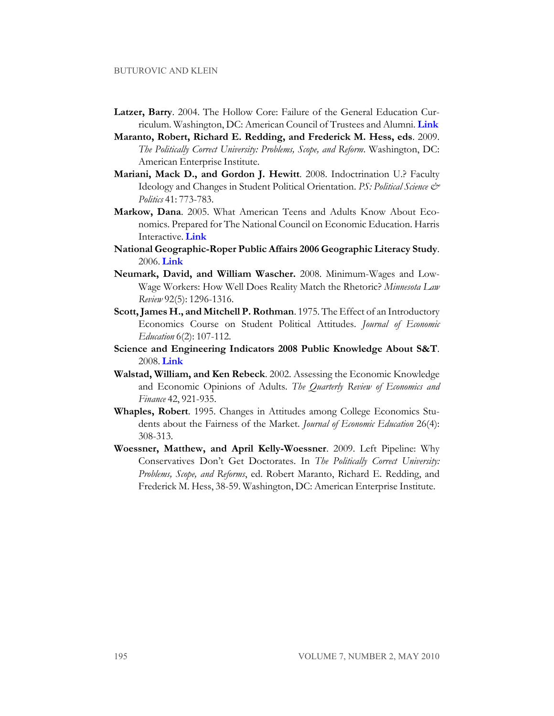- **Latzer, Barry**. 2004. The Hollow Core: Failure of the General Education Curriculum. Washington, DC: American Council of Trustees and Alumni. **[Link](https://www.goacta.org/publications/downloads/TheHollowCore.pdf)**
- **Maranto, Robert, Richard E. Redding, and Frederick M. Hess, eds**. 2009. *The Politically Correct University: Problems, Scope, and Reform*. Washington, DC: American Enterprise Institute.
- **Mariani, Mack D., and Gordon J. Hewitt**. 2008. Indoctrination U.? Faculty Ideology and Changes in Student Political Orientation. *PS: Political Science & Politics* 41: 773-783.
- **Markow, Dana**. 2005. What American Teens and Adults Know About Economics. Prepared for The National Council on Economic Education. Harris Interactive. **[Link](http://207.124.141.218/WhatAmericansKnowAboutEconomics_042605-3.pdf)**
- **National Geographic-Roper Public Affairs 2006 Geographic Literacy Study**. 2006. **[Link](http://www.nationalgeographic.com/roper2006/pdf/FINALReport2006GeogLitsurvey.pdf)**
- **Neumark, David, and William Wascher.** 2008. Minimum-Wages and Low-Wage Workers: How Well Does Reality Match the Rhetoric? *Minnesota Law Review* 92(5): 1296-1316.
- **Scott,James H., and Mitchell P.Rothman**. 1975. The Effect of an Introductory Economics Course on Student Political Attitudes. *Journal of Economic Education* 6(2): 107-112.
- **Science and Engineering Indicators 2008 Public Knowledge About S&T**. 2008. **[Link](http://www.nsf.gov/statistics/seind08/c7/c7h.htm#c7h2)**
- **Walstad, William, and Ken Rebeck**. 2002. Assessing the Economic Knowledge and Economic Opinions of Adults. *The Quarterly Review of Economics and Finance* 42, 921-935.
- **Whaples, Robert**. 1995. Changes in Attitudes among College Economics Students about the Fairness of the Market. *Journal of Economic Education* 26(4): 308-313.
- **Woessner, Matthew, and April Kelly-Woessner**. 2009. Left Pipeline: Why Conservatives Don't Get Doctorates. In *The Politically Correct University: Problems, Scope, and Reforms*, ed. Robert Maranto, Richard E. Redding, and Frederick M. Hess, 38-59. Washington, DC: American Enterprise Institute.